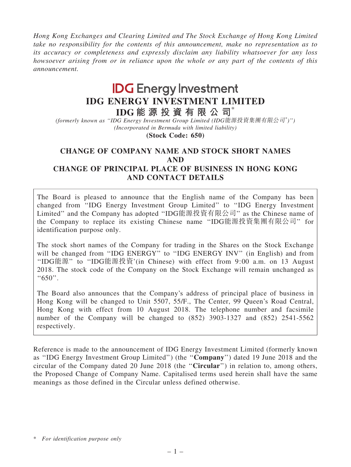Hong Kong Exchanges and Clearing Limited and The Stock Exchange of Hong Kong Limited take no responsibility for the contents of this announcement, make no representation as to its accuracy or completeness and expressly disclaim any liability whatsoever for any loss howsoever arising from or in reliance upon the whole or any part of the contents of this announcement.

# **IDG** Energy Investment IDG ENERGY INVESTMENT LIMITED

IDG 能 源 投 資 有 限 公 司 $^*$ 

(formerly known as ''IDG Energy Investment Group Limited (IDG能源投資集團有限公司\* )'') (Incorporated in Bermuda with limited liability)

(Stock Code: 650)

## CHANGE OF COMPANY NAME AND STOCK SHORT NAMES AND CHANGE OF PRINCIPAL PLACE OF BUSINESS IN HONG KONG AND CONTACT DETAILS

The Board is pleased to announce that the English name of the Company has been changed from ''IDG Energy Investment Group Limited'' to ''IDG Energy Investment Limited'' and the Company has adopted ''IDG能源投資有限公司'' as the Chinese name of the Company to replace its existing Chinese name ''IDG能源投資集團有限公司'' for identification purpose only.

The stock short names of the Company for trading in the Shares on the Stock Exchange will be changed from "IDG ENERGY" to "IDG ENERGY INV" (in English) and from ''IDG能源'' to ''IDG能源投資'(in Chinese) with effect from 9:00 a.m. on 13 August 2018. The stock code of the Company on the Stock Exchange will remain unchanged as  $``650"$ .

The Board also announces that the Company's address of principal place of business in Hong Kong will be changed to Unit 5507, 55/F., The Center, 99 Queen's Road Central, Hong Kong with effect from 10 August 2018. The telephone number and facsimile number of the Company will be changed to (852) 3903-1327 and (852) 2541-5562 respectively.

Reference is made to the announcement of IDG Energy Investment Limited (formerly known as ''IDG Energy Investment Group Limited'') (the ''Company'') dated 19 June 2018 and the circular of the Company dated 20 June 2018 (the ''Circular'') in relation to, among others, the Proposed Change of Company Name. Capitalised terms used herein shall have the same meanings as those defined in the Circular unless defined otherwise.

<sup>\*</sup> For identification purpose only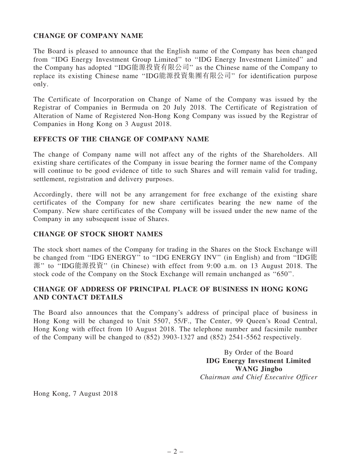## CHANGE OF COMPANY NAME

The Board is pleased to announce that the English name of the Company has been changed from ''IDG Energy Investment Group Limited'' to ''IDG Energy Investment Limited'' and the Company has adopted ''IDG能源投資有限公司'' as the Chinese name of the Company to replace its existing Chinese name ''IDG能源投資集團有限公司'' for identification purpose only.

The Certificate of Incorporation on Change of Name of the Company was issued by the Registrar of Companies in Bermuda on 20 July 2018. The Certificate of Registration of Alteration of Name of Registered Non-Hong Kong Company was issued by the Registrar of Companies in Hong Kong on 3 August 2018.

#### EFFECTS OF THE CHANGE OF COMPANY NAME

The change of Company name will not affect any of the rights of the Shareholders. All existing share certificates of the Company in issue bearing the former name of the Company will continue to be good evidence of title to such Shares and will remain valid for trading, settlement, registration and delivery purposes.

Accordingly, there will not be any arrangement for free exchange of the existing share certificates of the Company for new share certificates bearing the new name of the Company. New share certificates of the Company will be issued under the new name of the Company in any subsequent issue of Shares.

#### CHANGE OF STOCK SHORT NAMES

The stock short names of the Company for trading in the Shares on the Stock Exchange will be changed from "IDG ENERGY" to "IDG ENERGY INV" (in English) and from "IDG能 源'' to ''IDG能源投資'' (in Chinese) with effect from 9:00 a.m. on 13 August 2018. The stock code of the Company on the Stock Exchange will remain unchanged as ''650''.

## CHANGE OF ADDRESS OF PRINCIPAL PLACE OF BUSINESS IN HONG KONG AND CONTACT DETAILS

The Board also announces that the Company's address of principal place of business in Hong Kong will be changed to Unit 5507, 55/F., The Center, 99 Queen's Road Central, Hong Kong with effect from 10 August 2018. The telephone number and facsimile number of the Company will be changed to (852) 3903-1327 and (852) 2541-5562 respectively.

> By Order of the Board IDG Energy Investment Limited WANG Jingbo Chairman and Chief Executive Officer

Hong Kong, 7 August 2018